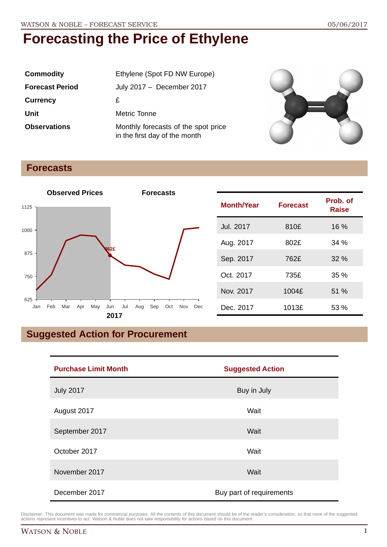| <b>Commodity</b>       | Ethylene (Spot FD NW Europe)                                         |  |
|------------------------|----------------------------------------------------------------------|--|
| <b>Forecast Period</b> | July 2017 - December 2017                                            |  |
| <b>Currency</b>        | £                                                                    |  |
| Unit                   | Metric Tonne                                                         |  |
| <b>Observations</b>    | Monthly forecasts of the spot price<br>in the first day of the month |  |



## **Forecasts**



| <b>Month/Year</b> | <b>Forecast</b> | Prob. of<br><b>Raise</b> |
|-------------------|-----------------|--------------------------|
| Jul. 2017         | 810£            | 16 %                     |
| Aug. 2017         | 802£            | 34%                      |
| Sep. 2017         | 762£            | 32%                      |
| Oct. 2017         | 735£            | 35%                      |
| Nov. 2017         | 1004£           | 51 %                     |
| Dec. 2017         | 1013£           | 53%                      |

# **Suggested Action for Procurement**

| <b>Purchase Limit Month</b> | <b>Suggested Action</b>  |  |
|-----------------------------|--------------------------|--|
| <b>July 2017</b>            | Buy in July              |  |
| August 2017                 | Wait                     |  |
| September 2017              | Wait                     |  |
| October 2017                | Wait                     |  |
| November 2017               | Wait                     |  |
| December 2017               | Buy part of requirements |  |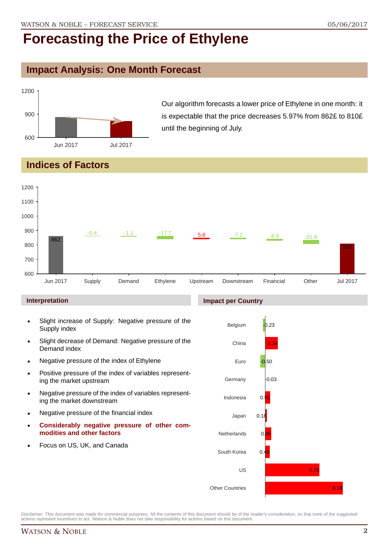## **Impact Analysis: One Month Forecast**



Our algorithm forecasts a lower price of Ethylene in one month: it is expectable that the price decreases 5.97% from 862£ to 810£ until the beginning of July.

## **Indices of Factors**



### **Interpretation**

- Slight increase of Supply: Negative pressure of the Supply index
- Slight decrease of Demand: Negative pressure of the Demand index
- **Negative pressure of the index of Ethylene**
- Positive pressure of the index of variables representing the market upstream
- Negative pressure of the index of variables representing the market downstream
- **Negative pressure of the financial index**
- **Considerably negative pressure of other commodities and other factors**
- Focus on US, UK, and Canada

## **Impact per Country**

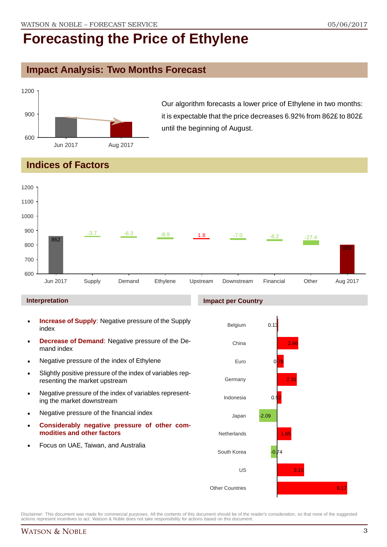## **Impact Analysis: Two Months Forecast**



Our algorithm forecasts a lower price of Ethylene in two months: it is expectable that the price decreases 6.92% from 862£ to 802£ until the beginning of August.

## **Indices of Factors**



### **Interpretation**

- **Increase of Supply**: Negative pressure of the Supply index
- **Decrease of Demand**: Negative pressure of the Demand index
- **Negative pressure of the index of Ethylene**
- Slightly positive pressure of the index of variables representing the market upstream
- Negative pressure of the index of variables representing the market downstream
- **Negative pressure of the financial index**
- **Considerably negative pressure of other commodities and other factors**
- Focus on UAE, Taiwan, and Australia



Disclaimer: This document was made for commercial purposes. All the contents of this document should be of the reader's consideration, so that none of the suggested actions represent incentives to act. Watson & Noble does not take responsibility for actions based on this document.

## WATSON & NOBLE 3

### **Impact per Country**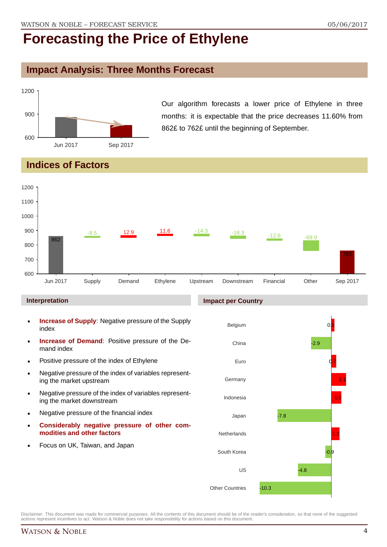## **Impact Analysis: Three Months Forecast**



Our algorithm forecasts a lower price of Ethylene in three months: it is expectable that the price decreases 11.60% from 862£ to 762£ until the beginning of September.

## **Indices of Factors**



### **Interpretation**

- **Increase of Supply**: Negative pressure of the Supply index
- **Increase of Demand**: Positive pressure of the Demand index
- **Positive pressure of the index of Ethylene**
- Negative pressure of the index of variables representing the market upstream
- Negative pressure of the index of variables representing the market downstream
- **Negative pressure of the financial index**
- **Considerably negative pressure of other commodities and other factors**
- Focus on UK, Taiwan, and Japan

### **Impact per Country**

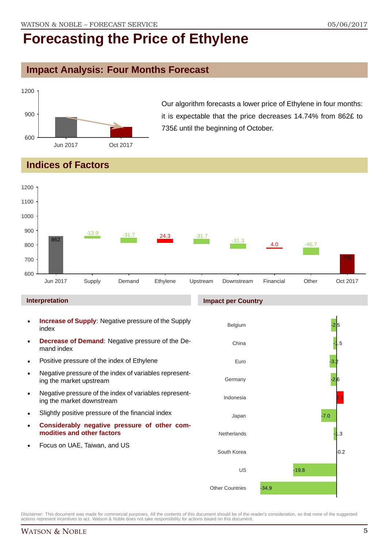## **Impact Analysis: Four Months Forecast**



Our algorithm forecasts a lower price of Ethylene in four months: it is expectable that the price decreases 14.74% from 862£ to 735£ until the beginning of October.

## **Indices of Factors**



### **Interpretation**

- **Increase of Supply**: Negative pressure of the Supply index
- **Decrease of Demand**: Negative pressure of the Demand index
- **Positive pressure of the index of Ethylene**
- Negative pressure of the index of variables representing the market upstream
- Negative pressure of the index of variables representing the market downstream
- Slightly positive pressure of the financial index
- **Considerably negative pressure of other commodities and other factors**
- Focus on UAE, Taiwan, and US

## Belgium China Euro Germany Indonesia Japan **Netherlands** South Korea US Other Countries .<br>2 -1.5 -3.2 -2.6 3.1 -7.0 -1.3  $0.2$ -19.8 -34.9

Disclaimer: This document was made for commercial purposes. All the contents of this document should be of the reader's consideration, so that none of the suggested actions represent incentives to act. Watson & Noble does not take responsibility for actions based on this document.

### **Impact per Country**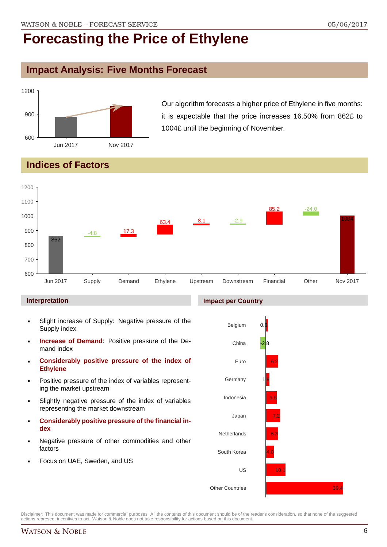## **Impact Analysis: Five Months Forecast**



Our algorithm forecasts a higher price of Ethylene in five months: it is expectable that the price increases 16.50% from 862£ to 1004£ until the beginning of November.

# **Indices of Factors**



### **Interpretation**

- Slight increase of Supply: Negative pressure of the Supply index
- **Increase of Demand**: Positive pressure of the Demand index
- **Considerably positive pressure of the index of Ethylene**
- Positive pressure of the index of variables representing the market upstream
- Slightly negative pressure of the index of variables representing the market downstream
- **Considerably positive pressure of the financial index**
- Negative pressure of other commodities and other factors
- Focus on UAE, Sweden, and US



Disclaimer: This document was made for commercial purposes. All the contents of this document should be of the reader's consideration, so that none of the suggested actions represent incentives to act. Watson & Noble does not take responsibility for actions based on this document.

### **Impact per Country**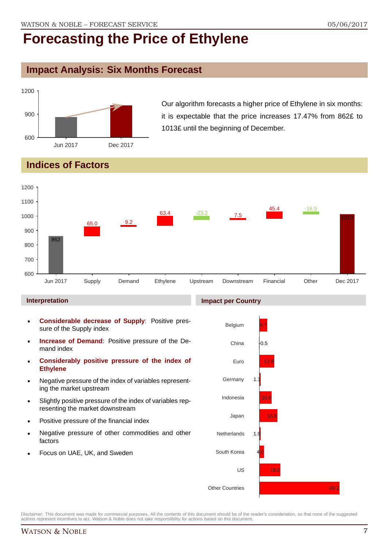## **Impact Analysis: Six Months Forecast**



Our algorithm forecasts a higher price of Ethylene in six months: it is expectable that the price increases 17.47% from 862£ to 1013£ until the beginning of December.

# **Indices of Factors**



### **Interpretation**

- **Considerable decrease of Supply**: Positive pressure of the Supply index
- **Increase of Demand**: Positive pressure of the Demand index
- **Considerably positive pressure of the index of Ethylene**
- Negative pressure of the index of variables representing the market upstream
- Slightly positive pressure of the index of variables representing the market downstream
- Positive pressure of the financial index
- Negative pressure of other commodities and other factors
- Focus on UAE, UK, and Sweden

### **Impact per Country**

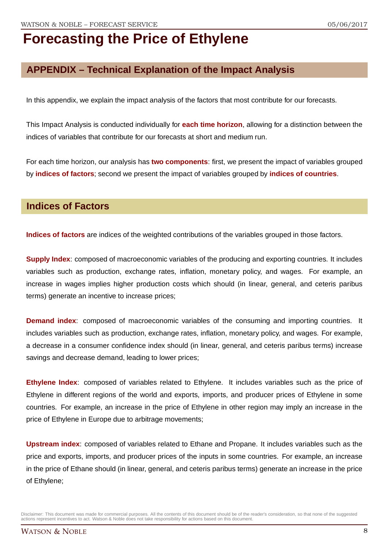# **APPENDIX – Technical Explanation of the Impact Analysis**

In this appendix, we explain the impact analysis of the factors that most contribute for our forecasts.

This Impact Analysis is conducted individually for **each time horizon**, allowing for a distinction between the indices of variables that contribute for our forecasts at short and medium run.

For each time horizon, our analysis has **two components**: first, we present the impact of variables grouped by **indices of factors**; second we present the impact of variables grouped by **indices of countries**.

## **Indices of Factors**

**Indices of factors** are indices of the weighted contributions of the variables grouped in those factors.

**Supply Index:** composed of macroeconomic variables of the producing and exporting countries. It includes variables such as production, exchange rates, inflation, monetary policy, and wages. For example, an increase in wages implies higher production costs which should (in linear, general, and ceteris paribus terms) generate an incentive to increase prices;

**Demand index**: composed of macroeconomic variables of the consuming and importing countries. It includes variables such as production, exchange rates, inflation, monetary policy, and wages. For example, a decrease in a consumer confidence index should (in linear, general, and ceteris paribus terms) increase savings and decrease demand, leading to lower prices;

**Ethylene Index**: composed of variables related to Ethylene. It includes variables such as the price of Ethylene in different regions of the world and exports, imports, and producer prices of Ethylene in some countries. For example, an increase in the price of Ethylene in other region may imply an increase in the price of Ethylene in Europe due to arbitrage movements;

**Upstream index**: composed of variables related to Ethane and Propane. It includes variables such as the price and exports, imports, and producer prices of the inputs in some countries. For example, an increase in the price of Ethane should (in linear, general, and ceteris paribus terms) generate an increase in the price of Ethylene;